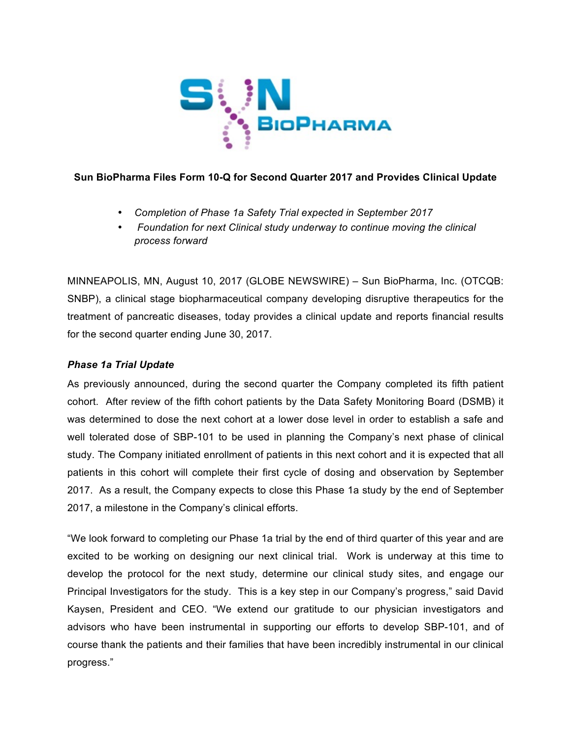

# **Sun BioPharma Files Form 10-Q for Second Quarter 2017 and Provides Clinical Update**

- *Completion of Phase 1a Safety Trial expected in September 2017*
- *Foundation for next Clinical study underway to continue moving the clinical process forward*

MINNEAPOLIS, MN, August 10, 2017 (GLOBE NEWSWIRE) – Sun BioPharma, Inc. (OTCQB: SNBP), a clinical stage biopharmaceutical company developing disruptive therapeutics for the treatment of pancreatic diseases, today provides a clinical update and reports financial results for the second quarter ending June 30, 2017.

# *Phase 1a Trial Update*

As previously announced, during the second quarter the Company completed its fifth patient cohort. After review of the fifth cohort patients by the Data Safety Monitoring Board (DSMB) it was determined to dose the next cohort at a lower dose level in order to establish a safe and well tolerated dose of SBP-101 to be used in planning the Company's next phase of clinical study. The Company initiated enrollment of patients in this next cohort and it is expected that all patients in this cohort will complete their first cycle of dosing and observation by September 2017. As a result, the Company expects to close this Phase 1a study by the end of September 2017, a milestone in the Company's clinical efforts.

"We look forward to completing our Phase 1a trial by the end of third quarter of this year and are excited to be working on designing our next clinical trial. Work is underway at this time to develop the protocol for the next study, determine our clinical study sites, and engage our Principal Investigators for the study. This is a key step in our Company's progress," said David Kaysen, President and CEO. "We extend our gratitude to our physician investigators and advisors who have been instrumental in supporting our efforts to develop SBP-101, and of course thank the patients and their families that have been incredibly instrumental in our clinical progress."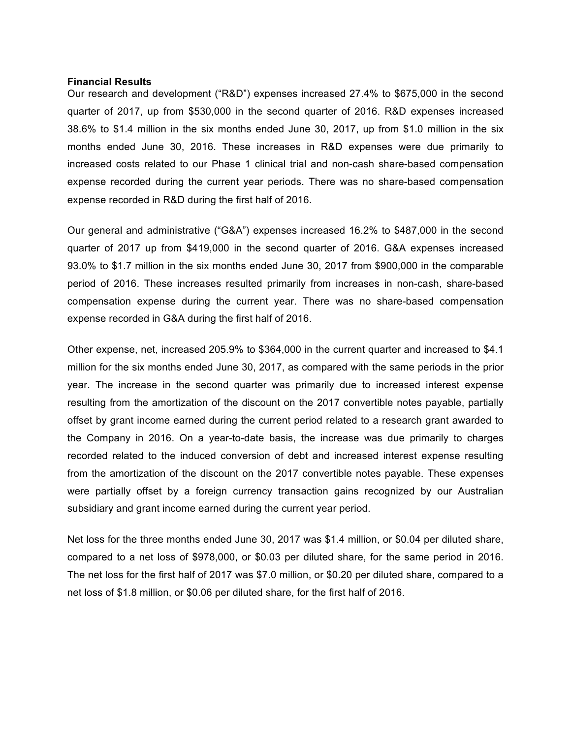#### **Financial Results**

Our research and development ("R&D") expenses increased 27.4% to \$675,000 in the second quarter of 2017, up from \$530,000 in the second quarter of 2016. R&D expenses increased 38.6% to \$1.4 million in the six months ended June 30, 2017, up from \$1.0 million in the six months ended June 30, 2016. These increases in R&D expenses were due primarily to increased costs related to our Phase 1 clinical trial and non-cash share-based compensation expense recorded during the current year periods. There was no share-based compensation expense recorded in R&D during the first half of 2016.

Our general and administrative ("G&A") expenses increased 16.2% to \$487,000 in the second quarter of 2017 up from \$419,000 in the second quarter of 2016. G&A expenses increased 93.0% to \$1.7 million in the six months ended June 30, 2017 from \$900,000 in the comparable period of 2016. These increases resulted primarily from increases in non-cash, share-based compensation expense during the current year. There was no share-based compensation expense recorded in G&A during the first half of 2016.

Other expense, net, increased 205.9% to \$364,000 in the current quarter and increased to \$4.1 million for the six months ended June 30, 2017, as compared with the same periods in the prior year. The increase in the second quarter was primarily due to increased interest expense resulting from the amortization of the discount on the 2017 convertible notes payable, partially offset by grant income earned during the current period related to a research grant awarded to the Company in 2016. On a year-to-date basis, the increase was due primarily to charges recorded related to the induced conversion of debt and increased interest expense resulting from the amortization of the discount on the 2017 convertible notes payable. These expenses were partially offset by a foreign currency transaction gains recognized by our Australian subsidiary and grant income earned during the current year period.

Net loss for the three months ended June 30, 2017 was \$1.4 million, or \$0.04 per diluted share, compared to a net loss of \$978,000, or \$0.03 per diluted share, for the same period in 2016. The net loss for the first half of 2017 was \$7.0 million, or \$0.20 per diluted share, compared to a net loss of \$1.8 million, or \$0.06 per diluted share, for the first half of 2016.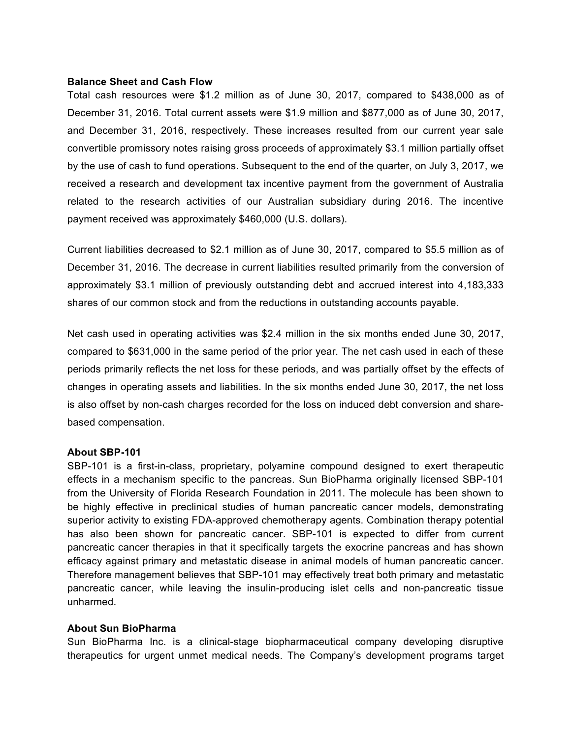### **Balance Sheet and Cash Flow**

Total cash resources were \$1.2 million as of June 30, 2017, compared to \$438,000 as of December 31, 2016. Total current assets were \$1.9 million and \$877,000 as of June 30, 2017, and December 31, 2016, respectively. These increases resulted from our current year sale convertible promissory notes raising gross proceeds of approximately \$3.1 million partially offset by the use of cash to fund operations. Subsequent to the end of the quarter, on July 3, 2017, we received a research and development tax incentive payment from the government of Australia related to the research activities of our Australian subsidiary during 2016. The incentive payment received was approximately \$460,000 (U.S. dollars).

Current liabilities decreased to \$2.1 million as of June 30, 2017, compared to \$5.5 million as of December 31, 2016. The decrease in current liabilities resulted primarily from the conversion of approximately \$3.1 million of previously outstanding debt and accrued interest into 4,183,333 shares of our common stock and from the reductions in outstanding accounts payable.

Net cash used in operating activities was \$2.4 million in the six months ended June 30, 2017, compared to \$631,000 in the same period of the prior year. The net cash used in each of these periods primarily reflects the net loss for these periods, and was partially offset by the effects of changes in operating assets and liabilities. In the six months ended June 30, 2017, the net loss is also offset by non-cash charges recorded for the loss on induced debt conversion and sharebased compensation.

## **About SBP-101**

SBP-101 is a first-in-class, proprietary, polyamine compound designed to exert therapeutic effects in a mechanism specific to the pancreas. Sun BioPharma originally licensed SBP-101 from the University of Florida Research Foundation in 2011. The molecule has been shown to be highly effective in preclinical studies of human pancreatic cancer models, demonstrating superior activity to existing FDA-approved chemotherapy agents. Combination therapy potential has also been shown for pancreatic cancer. SBP-101 is expected to differ from current pancreatic cancer therapies in that it specifically targets the exocrine pancreas and has shown efficacy against primary and metastatic disease in animal models of human pancreatic cancer. Therefore management believes that SBP-101 may effectively treat both primary and metastatic pancreatic cancer, while leaving the insulin-producing islet cells and non-pancreatic tissue unharmed.

## **About Sun BioPharma**

Sun BioPharma Inc. is a clinical-stage biopharmaceutical company developing disruptive therapeutics for urgent unmet medical needs. The Company's development programs target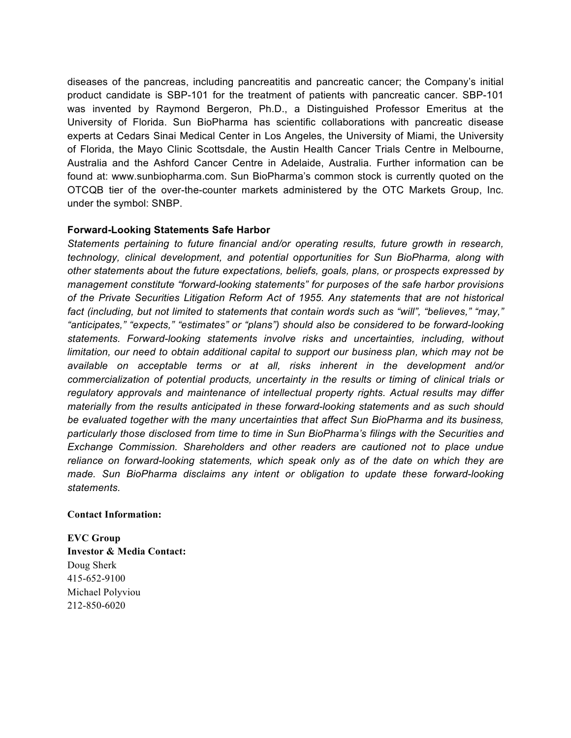diseases of the pancreas, including pancreatitis and pancreatic cancer; the Company's initial product candidate is SBP-101 for the treatment of patients with pancreatic cancer. SBP-101 was invented by Raymond Bergeron, Ph.D., a Distinguished Professor Emeritus at the University of Florida. Sun BioPharma has scientific collaborations with pancreatic disease experts at Cedars Sinai Medical Center in Los Angeles, the University of Miami, the University of Florida, the Mayo Clinic Scottsdale, the Austin Health Cancer Trials Centre in Melbourne, Australia and the Ashford Cancer Centre in Adelaide, Australia. Further information can be found at: www.sunbiopharma.com. Sun BioPharma's common stock is currently quoted on the OTCQB tier of the over-the-counter markets administered by the OTC Markets Group, Inc. under the symbol: SNBP.

## **Forward-Looking Statements Safe Harbor**

*Statements pertaining to future financial and/or operating results, future growth in research, technology, clinical development, and potential opportunities for Sun BioPharma, along with other statements about the future expectations, beliefs, goals, plans, or prospects expressed by management constitute "forward-looking statements" for purposes of the safe harbor provisions of the Private Securities Litigation Reform Act of 1955. Any statements that are not historical fact (including, but not limited to statements that contain words such as "will", "believes," "may," "anticipates," "expects," "estimates" or "plans") should also be considered to be forward-looking statements. Forward-looking statements involve risks and uncertainties, including, without limitation, our need to obtain additional capital to support our business plan, which may not be available on acceptable terms or at all, risks inherent in the development and/or commercialization of potential products, uncertainty in the results or timing of clinical trials or regulatory approvals and maintenance of intellectual property rights. Actual results may differ materially from the results anticipated in these forward-looking statements and as such should be evaluated together with the many uncertainties that affect Sun BioPharma and its business, particularly those disclosed from time to time in Sun BioPharma's filings with the Securities and Exchange Commission. Shareholders and other readers are cautioned not to place undue reliance on forward-looking statements, which speak only as of the date on which they are made. Sun BioPharma disclaims any intent or obligation to update these forward-looking statements.*

## **Contact Information:**

**EVC Group Investor & Media Contact:** Doug Sherk 415-652-9100 Michael Polyviou 212-850-6020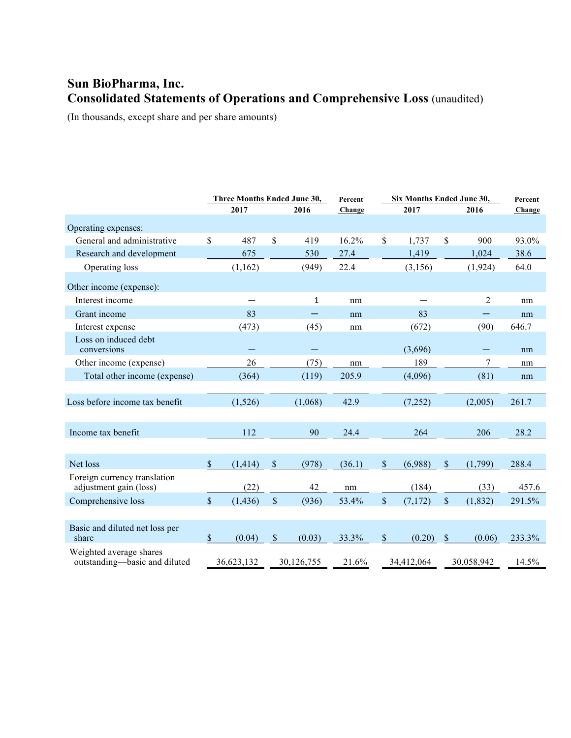# **Sun BioPharma, Inc. Consolidated Statements of Operations and Comprehensive Loss** (unaudited)

(In thousands, except share and per share amounts)

|                                                          | Three Months Ended June 30, |            |                           | Six Months Ended June 30,<br>Percent |        |               |            | Percent |                |        |
|----------------------------------------------------------|-----------------------------|------------|---------------------------|--------------------------------------|--------|---------------|------------|---------|----------------|--------|
|                                                          |                             | 2017       |                           | 2016                                 | Change |               | 2017       |         | 2016           | Change |
| Operating expenses:                                      |                             |            |                           |                                      |        |               |            |         |                |        |
| General and administrative                               | \$                          | 487        | \$                        | 419                                  | 16.2%  | $\mathsf{\$}$ | 1,737      | \$      | 900            | 93.0%  |
| Research and development                                 |                             | 675        |                           | 530                                  | 27.4   |               | 1,419      |         | 1,024          | 38.6   |
| Operating loss                                           |                             | (1,162)    |                           | (949)                                | 22.4   |               | (3, 156)   |         | (1, 924)       | 64.0   |
| Other income (expense):                                  |                             |            |                           |                                      |        |               |            |         |                |        |
| Interest income                                          |                             |            |                           | 1                                    | nm     |               |            |         | 2              | nm     |
| Grant income                                             |                             | 83         |                           |                                      | nm     |               | 83         |         |                | nm     |
| Interest expense                                         |                             | (473)      |                           | (45)                                 | nm     |               | (672)      |         | (90)           | 646.7  |
| Loss on induced debt<br>conversions                      |                             |            |                           |                                      |        |               | (3,696)    |         |                | nm     |
| Other income (expense)                                   |                             | 26         |                           | (75)                                 | nm     |               | 189        |         | $\overline{7}$ | nm     |
| Total other income (expense)                             |                             | (364)      |                           | (119)                                | 205.9  |               | (4,096)    |         | (81)           | nm     |
|                                                          |                             |            |                           |                                      |        |               |            |         |                |        |
| Loss before income tax benefit                           |                             | (1,526)    |                           | (1,068)                              | 42.9   |               | (7,252)    |         | (2,005)        | 261.7  |
|                                                          |                             |            |                           |                                      |        |               |            |         |                |        |
| Income tax benefit                                       |                             | 112        |                           | 90                                   | 24.4   |               | 264        |         | 206            | 28.2   |
|                                                          |                             |            |                           |                                      |        |               |            |         |                |        |
| Net loss                                                 | \$                          | (1, 414)   | \$                        | (978)                                | (36.1) | $\mathcal{S}$ | (6,988)    | \$      | (1,799)        | 288.4  |
| Foreign currency translation<br>adjustment gain (loss)   |                             | (22)       |                           | 42                                   | nm     |               | (184)      |         | (33)           | 457.6  |
| Comprehensive loss                                       | \$                          | (1, 436)   | $\mathbb{S}$              | (936)                                | 53.4%  | $\mathbb{S}$  | (7,172)    | \$      | (1, 832)       | 291.5% |
|                                                          |                             |            |                           |                                      |        |               |            |         |                |        |
| Basic and diluted net loss per<br>share                  | $\mathbf S$                 | (0.04)     | $\boldsymbol{\mathsf{S}}$ | (0.03)                               | 33.3%  | $\mathbb{S}$  | (0.20)     | \$      | (0.06)         | 233.3% |
| Weighted average shares<br>outstanding-basic and diluted |                             | 36,623,132 |                           | 30,126,755                           | 21.6%  |               | 34,412,064 |         | 30,058,942     | 14.5%  |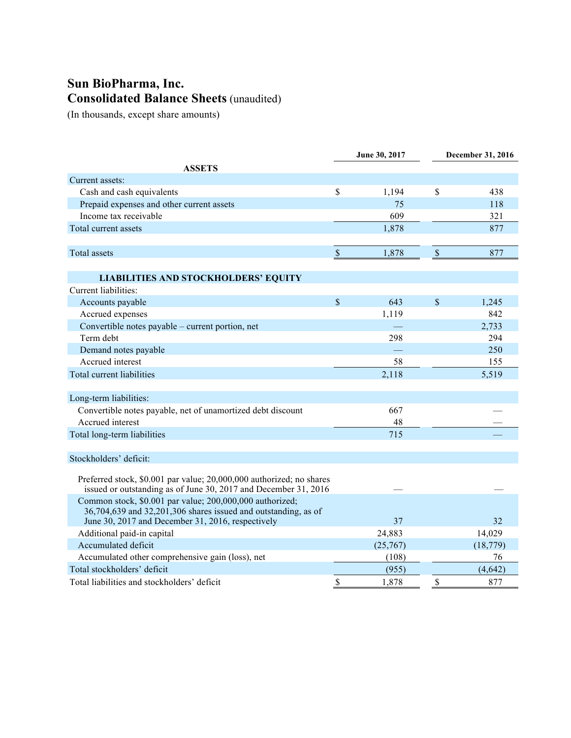# **Sun BioPharma, Inc. Consolidated Balance Sheets** (unaudited)

(In thousands, except share amounts)

|                                                                                                                            | <b>June 30, 2017</b> |          | December 31, 2016 |           |  |
|----------------------------------------------------------------------------------------------------------------------------|----------------------|----------|-------------------|-----------|--|
| <b>ASSETS</b>                                                                                                              |                      |          |                   |           |  |
| Current assets:                                                                                                            |                      |          |                   |           |  |
| Cash and cash equivalents                                                                                                  | \$                   | 1,194    | \$                | 438       |  |
| Prepaid expenses and other current assets                                                                                  |                      | 75       |                   | 118       |  |
| Income tax receivable                                                                                                      |                      | 609      |                   | 321       |  |
| Total current assets                                                                                                       |                      | 1,878    |                   | 877       |  |
|                                                                                                                            |                      |          |                   |           |  |
| <b>Total</b> assets                                                                                                        | $\mathbb{S}$         | 1,878    | $\mathcal{S}$     | 877       |  |
|                                                                                                                            |                      |          |                   |           |  |
| <b>LIABILITIES AND STOCKHOLDERS' EQUITY</b>                                                                                |                      |          |                   |           |  |
| Current liabilities:                                                                                                       |                      |          |                   |           |  |
| Accounts payable                                                                                                           | $\mathsf{\$}$        | 643      | \$                | 1,245     |  |
| Accrued expenses                                                                                                           |                      | 1,119    |                   | 842       |  |
| Convertible notes payable - current portion, net                                                                           |                      |          |                   | 2,733     |  |
| Term debt                                                                                                                  |                      | 298      |                   | 294       |  |
| Demand notes payable                                                                                                       |                      |          |                   | 250       |  |
| Accrued interest                                                                                                           |                      | 58       |                   | 155       |  |
| Total current liabilities                                                                                                  |                      | 2,118    |                   | 5,519     |  |
|                                                                                                                            |                      |          |                   |           |  |
| Long-term liabilities:                                                                                                     |                      |          |                   |           |  |
| Convertible notes payable, net of unamortized debt discount                                                                |                      | 667      |                   |           |  |
| Accrued interest                                                                                                           |                      | 48       |                   |           |  |
| Total long-term liabilities                                                                                                |                      | 715      |                   |           |  |
|                                                                                                                            |                      |          |                   |           |  |
| Stockholders' deficit:                                                                                                     |                      |          |                   |           |  |
|                                                                                                                            |                      |          |                   |           |  |
| Preferred stock, \$0.001 par value; 20,000,000 authorized; no shares                                                       |                      |          |                   |           |  |
| issued or outstanding as of June 30, 2017 and December 31, 2016                                                            |                      |          |                   |           |  |
| Common stock, \$0.001 par value; 200,000,000 authorized;<br>36,704,639 and 32,201,306 shares issued and outstanding, as of |                      |          |                   |           |  |
| June 30, 2017 and December 31, 2016, respectively                                                                          |                      | 37       |                   | 32        |  |
| Additional paid-in capital                                                                                                 |                      | 24,883   |                   | 14,029    |  |
| Accumulated deficit                                                                                                        |                      | (25,767) |                   | (18, 779) |  |
| Accumulated other comprehensive gain (loss), net                                                                           |                      | (108)    |                   | 76        |  |
| Total stockholders' deficit                                                                                                |                      | (955)    |                   | (4,642)   |  |
| Total liabilities and stockholders' deficit                                                                                | \$                   | 1,878    | \$                | 877       |  |